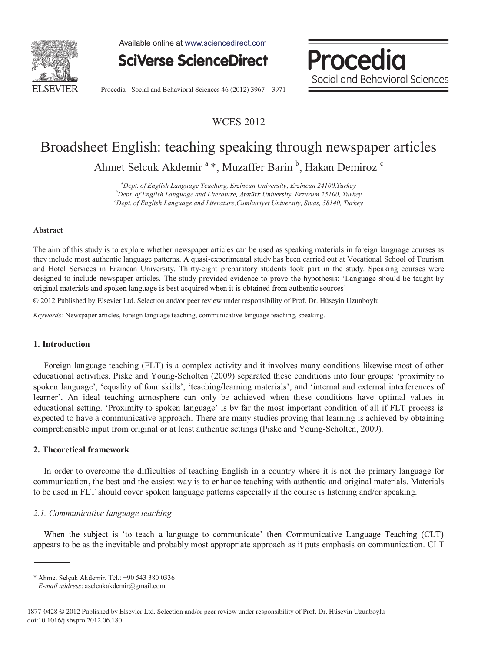

Available online at www.sciencedirect.com



Procedia Social and Behavioral Sciences

Procedia - Social and Behavioral Sciences 46 (2012) 3967 – 3971

# WCES 2012

# Broadsheet English: teaching speaking through newspaper articles Ahmet Selcuk Akdemir<sup>a</sup>\*, Muzaffer Barin<sup>b</sup>, Hakan Demiroz<sup>c</sup>

*a Dept. of English Language Teaching, Erzincan University, Erzincan 24100,Turkey b* <sup>*b*</sup>Dept. of English Language and Literature, Atatürk University, Erzurum 25100, Turkey *Dept. of English Language and Literature,Cumhuriyet University, Sivas, 58140, Turkey* 

#### **Abstract**

The aim of this study is to explore whether newspaper articles can be used as speaking materials in foreign language courses as they include most authentic language patterns. A quasi-experimental study has been carried out at Vocational School of Tourism and Hotel Services in Erzincan University. Thirty-eight preparatory students took part in the study. Speaking courses were designed to include newspaper articles. The study provided evidence to prove the hypothesis: 'Language should be taught by original materials and spoken language is best acquired when it is obtained from authentic sources'

© 2012 Published by Elsevier Ltd. Selection and/or peer review under responsibility of Prof. Dr. Hüseyin Uzunboylu

*Keywords:* Newspaper articles, foreign language teaching, communicative language teaching, speaking.

#### **1. Introduction**

Foreign language teaching (FLT) is a complex activity and it involves many conditions likewise most of other educational activities. Piske and Young-Scholten (2009) separated these conditions into four groups: 'proximity to spoken language', 'equality of four skills', 'teaching/learning materials', and 'internal and external interferences of learner'. An ideal teaching atmosphere can only be achieved when these conditions have optimal values in educational setting. 'Proximity to spoken language' is by far the most important condition of all if FLT process is expected to have a communicative approach. There are many studies proving that learning is achieved by obtaining comprehensible input from original or at least authentic settings (Piske and Young-Scholten, 2009).

#### **2. Theoretical framework**

In order to overcome the difficulties of teaching English in a country where it is not the primary language for communication, the best and the easiest way is to enhance teaching with authentic and original materials. Materials to be used in FLT should cover spoken language patterns especially if the course is listening and/or speaking.

#### *2.1. Communicative language teaching*

When the subject is 'to teach a language to communicate' then Communicative Language Teaching (CLT) appears to be as the inevitable and probably most appropriate approach as it puts emphasis on communication. CLT

<sup>\*</sup> Ahmet Selçuk Akdemir. Tel.: +90 543 380 0336

*E-mail address*: aselcukakdemir@gmail.com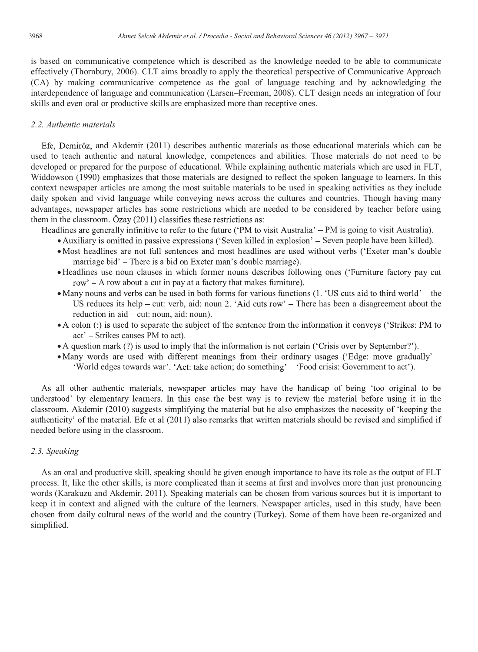is based on communicative competence which is described as the knowledge needed to be able to communicate effectively (Thornbury, 2006). CLT aims broadly to apply the theoretical perspective of Communicative Approach (CA) by making communicative competence as the goal of language teaching and by acknowledging the interdependence of language and communication (Larsen Freeman, 2008). CLT design needs an integration of four skills and even oral or productive skills are emphasized more than receptive ones.

## *2.2. Authentic materials*

Efe, Demiröz, and Akdemir (2011) describes authentic materials as those educational materials which can be used to teach authentic and natural knowledge, competences and abilities. Those materials do not need to be developed or prepared for the purpose of educational. While explaining authentic materials which are used in FLT, Widdowson (1990) emphasizes that those materials are designed to reflect the spoken language to learners. In this context newspaper articles are among the most suitable materials to be used in speaking activities as they include daily spoken and vivid language while conveying news across the cultures and countries. Though having many advantages, newspaper articles has some restrictions which are needed to be considered by teacher before using them in the classroom. Özay (2011) classifies these restrictions as:

Headlines are generally infinitive to refer to the future ('PM to visit Australia'  $-$  PM is going to visit Australia).

- Auxiliary is omitted in passive expressions ('Seven killed in explosion' Seven people have been killed).
- Most headlines are not full sentences and most headlines are used without verbs ('Exeter man's double marriage bid' – There is a bid on Exeter man's double marriage).
- Headlines use noun clauses in which former nouns describes following ones ('Furniture factory pay cut row' – A row about a cut in pay at a factory that makes furniture).
- Many nouns and verbs can be used in both forms for various functions (1. 'US cuts aid to third world' the US reduces its help  $-$  cut: verb, aid: noun 2. 'Aid cuts row'  $-$  There has been a disagreement about the reduction in  $aid - cut$ : noun, aid: noun).
- A colon (:) is used to separate the subject of the sentence from the information it conveys ('Strikes: PM to act' – Strikes causes PM to act).
- A question mark (?) is used to imply that the information is not certain ('Crisis over by September?').
- Many words are used with different meanings from their ordinary usages ('Edge: move gradually' 'World edges towards war'. 'Act: take action; do something' – 'Food crisis: Government to act').

As all other authentic materials, newspaper articles may have the handicap of being 'too original to be understood' by elementary learners. In this case the best way is to review the material before using it in the classroom. Akdemir (2010) suggests simplifying the material but he also emphasizes the necessity of 'keeping the authenticity' of the material. Efe et al (2011) also remarks that written materials should be revised and simplified if needed before using in the classroom.

# *2.3. Speaking*

As an oral and productive skill, speaking should be given enough importance to have its role as the output of FLT process. It, like the other skills, is more complicated than it seems at first and involves more than just pronouncing words (Karakuzu and Akdemir, 2011). Speaking materials can be chosen from various sources but it is important to keep it in context and aligned with the culture of the learners. Newspaper articles, used in this study, have been chosen from daily cultural news of the world and the country (Turkey). Some of them have been re-organized and simplified.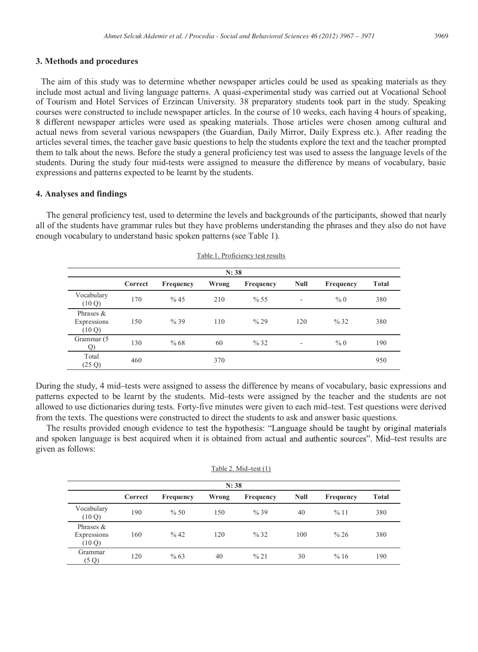#### **3. Methods and procedures**

The aim of this study was to determine whether newspaper articles could be used as speaking materials as they include most actual and living language patterns. A quasi-experimental study was carried out at Vocational School of Tourism and Hotel Services of Erzincan University. 38 preparatory students took part in the study. Speaking courses were constructed to include newspaper articles. In the course of 10 weeks, each having 4 hours of speaking, 8 different newspaper articles were used as speaking materials. Those articles were chosen among cultural and actual news from several various newspapers (the Guardian, Daily Mirror, Daily Express etc.). After reading the articles several times, the teacher gave basic questions to help the students explore the text and the teacher prompted them to talk about the news. Before the study a general proficiency test was used to assess the language levels of the students. During the study four mid-tests were assigned to measure the difference by means of vocabulary, basic expressions and patterns expected to be learnt by the students.

#### **4. Analyses and findings**

The general proficiency test, used to determine the levels and backgrounds of the participants, showed that nearly all of the students have grammar rules but they have problems understanding the phrases and they also do not have enough vocabulary to understand basic spoken patterns (see Table 1).

| N: 38                                |         |           |       |                  |                              |           |              |  |
|--------------------------------------|---------|-----------|-------|------------------|------------------------------|-----------|--------------|--|
|                                      | Correct | Frequency | Wrong | <b>Frequency</b> | <b>Null</b>                  | Frequency | <b>Total</b> |  |
| Vocabulary<br>(10 Q)                 | 170     | % 45      | 210   | % 55             | $\qquad \qquad \blacksquare$ | %0        | 380          |  |
| Phrases $&$<br>Expressions<br>(10 Q) | 150     | %39       | 110   | % 29             | 120                          | % 32      | 380          |  |
| Grammar (5<br>$\overline{Q}$         | 130     | %68       | 60    | % 32             | ۰                            | %0        | 190          |  |
| Total<br>(25 Q)                      | 460     |           | 370   |                  |                              |           | 950          |  |

Table 1. Proficiency test results

During the study, 4 mid-tests were assigned to assess the difference by means of vocabulary, basic expressions and patterns expected to be learnt by the students. Mid-tests were assigned by the teacher and the students are not allowed to use dictionaries during tests. Forty-five minutes were given to each mid-test. Test questions were derived from the texts. The questions were constructed to direct the students to ask and answer basic questions.

The results provided enough evidence to test the hypothesis: "Language should be taught by original materials and spoken language is best acquired when it is obtained from actual and authentic sources". Mid-test results are given as follows:

|  | Table 2. Mid-test $(1)$ |  |
|--|-------------------------|--|
|  |                         |  |

| N: 38                                |         |                  |       |                  |      |           |              |
|--------------------------------------|---------|------------------|-------|------------------|------|-----------|--------------|
|                                      | Correct | <b>Frequency</b> | Wrong | <b>Frequency</b> | Null | Frequency | <b>Total</b> |
| Vocabulary<br>(10 Q)                 | 190     | % 50             | 150   | %39              | 40   | %11       | 380          |
| Phrases $&$<br>Expressions<br>(10 Q) | 160     | $\frac{9}{6}$ 42 | 120   | % 32             | 100  | % 26      | 380          |
| Grammar<br>(5 Q)                     | 120     | %63              | 40    | % 21             | 30   | %16       | 190          |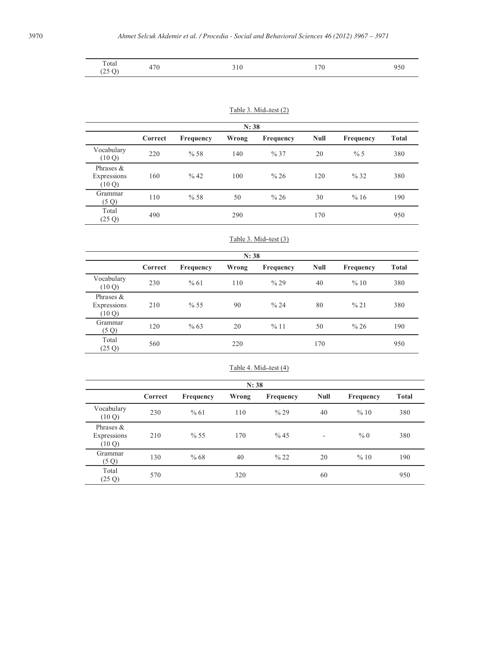| Total<br>(25 Q) | 470 | 310 | 170 | 950 |
|-----------------|-----|-----|-----|-----|
|-----------------|-----|-----|-----|-----|

#### Table 3. Mid-test  $(2)$

| N: 38                                |         |                  |       |                  |      |           |              |
|--------------------------------------|---------|------------------|-------|------------------|------|-----------|--------------|
|                                      | Correct | <b>Frequency</b> | Wrong | <b>Frequency</b> | Null | Frequency | <b>Total</b> |
| Vocabulary<br>(10 Q)                 | 220     | %58              | 140   | % 37             | 20   | % 5       | 380          |
| Phrases $&$<br>Expressions<br>(10 Q) | 160     | % 42             | 100   | % 26             | 120  | % 32      | 380          |
| Grammar<br>(5 Q)                     | 110     | %58              | 50    | % 26             | 30   | %16       | 190          |
| Total<br>(25 Q)                      | 490     |                  | 290   |                  | 170  |           | 950          |

#### Table 3. Mid-test (3)

| N: 38                                |         |           |       |           |      |           |       |
|--------------------------------------|---------|-----------|-------|-----------|------|-----------|-------|
|                                      | Correct | Frequency | Wrong | Frequency | Null | Frequency | Total |
| Vocabulary<br>(10 Q)                 | 230     | %61       | 110   | % 29      | 40   | %10       | 380   |
| Phrases $&$<br>Expressions<br>(10 Q) | 210     | % 55      | 90    | % 24      | 80   | % 21      | 380   |
| Grammar<br>(5 Q)                     | 120     | %63       | 20    | %11       | 50   | % 26      | 190   |
| Total<br>(25 Q)                      | 560     |           | 220   |           | 170  |           | 950   |

#### Table 4. Mid-test (4)

| N: 38                                |         |           |       |           |      |           |       |
|--------------------------------------|---------|-----------|-------|-----------|------|-----------|-------|
|                                      | Correct | Frequency | Wrong | Frequency | Null | Frequency | Total |
| Vocabulary<br>(10 Q)                 | 230     | %61       | 110   | % 29      | 40   | %10       | 380   |
| Phrases $&$<br>Expressions<br>(10 Q) | 210     | % 55      | 170   | % 45      | ٠    | % 0       | 380   |
| Grammar<br>(5 Q)                     | 130     | %68       | 40    | % 22      | 20   | %10       | 190   |
| Total<br>(25 Q)                      | 570     |           | 320   |           | 60   |           | 950   |